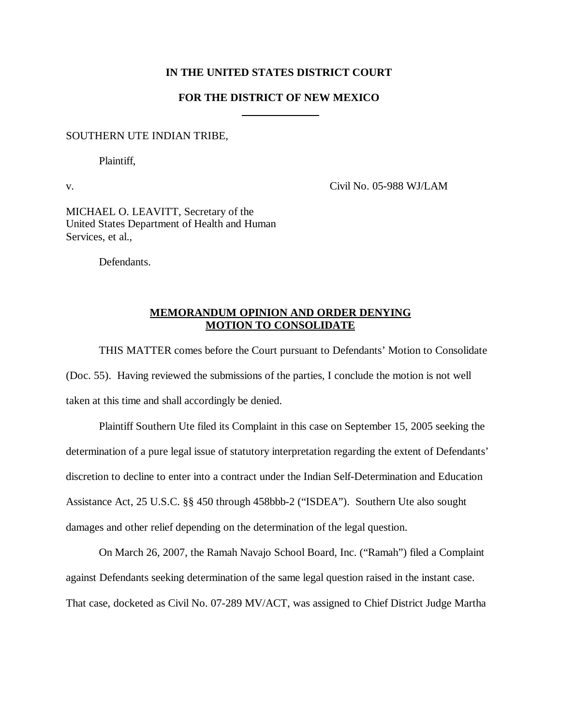### **IN THE UNITED STATES DISTRICT COURT**

### **FOR THE DISTRICT OF NEW MEXICO**

 $\overline{a}$ 

#### SOUTHERN UTE INDIAN TRIBE,

Plaintiff,

v. Civil No. 05-988 WJ/LAM

MICHAEL O. LEAVITT, Secretary of the United States Department of Health and Human Services, et al.,

Defendants.

# **MEMORANDUM OPINION AND ORDER DENYING MOTION TO CONSOLIDATE**

THIS MATTER comes before the Court pursuant to Defendants' Motion to Consolidate (Doc. 55). Having reviewed the submissions of the parties, I conclude the motion is not well taken at this time and shall accordingly be denied.

Plaintiff Southern Ute filed its Complaint in this case on September 15, 2005 seeking the determination of a pure legal issue of statutory interpretation regarding the extent of Defendants' discretion to decline to enter into a contract under the Indian Self-Determination and Education Assistance Act, 25 U.S.C. §§ 450 through 458bbb-2 ("ISDEA"). Southern Ute also sought damages and other relief depending on the determination of the legal question.

On March 26, 2007, the Ramah Navajo School Board, Inc. ("Ramah") filed a Complaint against Defendants seeking determination of the same legal question raised in the instant case. That case, docketed as Civil No. 07-289 MV/ACT, was assigned to Chief District Judge Martha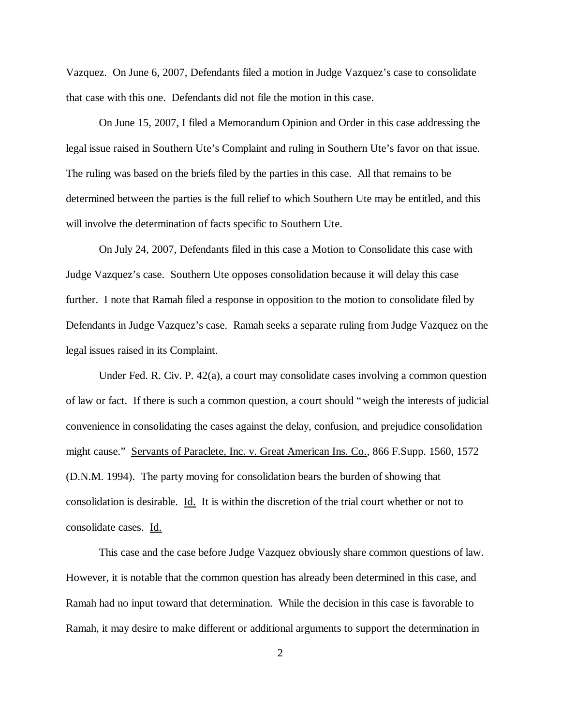Vazquez. On June 6, 2007, Defendants filed a motion in Judge Vazquez's case to consolidate that case with this one. Defendants did not file the motion in this case.

On June 15, 2007, I filed a Memorandum Opinion and Order in this case addressing the legal issue raised in Southern Ute's Complaint and ruling in Southern Ute's favor on that issue. The ruling was based on the briefs filed by the parties in this case. All that remains to be determined between the parties is the full relief to which Southern Ute may be entitled, and this will involve the determination of facts specific to Southern Ute.

On July 24, 2007, Defendants filed in this case a Motion to Consolidate this case with Judge Vazquez's case. Southern Ute opposes consolidation because it will delay this case further. I note that Ramah filed a response in opposition to the motion to consolidate filed by Defendants in Judge Vazquez's case. Ramah seeks a separate ruling from Judge Vazquez on the legal issues raised in its Complaint.

Under Fed. R. Civ. P. 42(a), a court may consolidate cases involving a common question of law or fact. If there is such a common question, a court should "weigh the interests of judicial convenience in consolidating the cases against the delay, confusion, and prejudice consolidation might cause." Servants of Paraclete, Inc. v. Great American Ins. Co., 866 F.Supp. 1560, 1572 (D.N.M. 1994). The party moving for consolidation bears the burden of showing that consolidation is desirable. Id. It is within the discretion of the trial court whether or not to consolidate cases. Id.

This case and the case before Judge Vazquez obviously share common questions of law. However, it is notable that the common question has already been determined in this case, and Ramah had no input toward that determination. While the decision in this case is favorable to Ramah, it may desire to make different or additional arguments to support the determination in